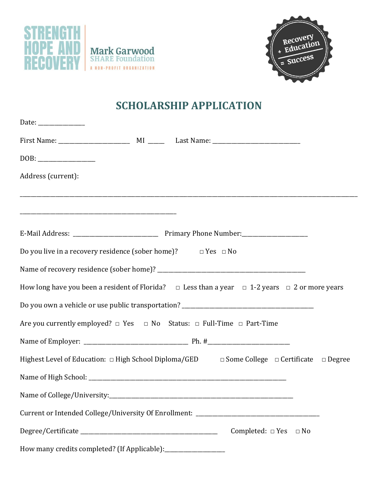



## **SCHOLARSHIP APPLICATION**

| Date: $\frac{1}{\sqrt{1-\frac{1}{2}}\cdot\frac{1}{2}}$                                                          |
|-----------------------------------------------------------------------------------------------------------------|
|                                                                                                                 |
|                                                                                                                 |
| Address (current):                                                                                              |
|                                                                                                                 |
|                                                                                                                 |
| Do you live in a recovery residence (sober home)? $\Box$ Yes $\Box$ No                                          |
|                                                                                                                 |
| How long have you been a resident of Florida? $\Box$ Less than a year $\Box$ 1-2 years $\Box$ 2 or more years   |
|                                                                                                                 |
| Are you currently employed? $\Box$ Yes $\Box$ No Status: $\Box$ Full-Time $\Box$ Part-Time                      |
|                                                                                                                 |
| Highest Level of Education: $\Box$ High School Diploma/GED $\Box$ Some College $\Box$ Certificate $\Box$ Degree |
|                                                                                                                 |
| Name of College/University:_______________                                                                      |
| Current or Intended College/University Of Enrollment: ___________________________                               |
| Completed: $\Box$ Yes $\Box$ No                                                                                 |
| How many credits completed? (If Applicable): ______________________                                             |